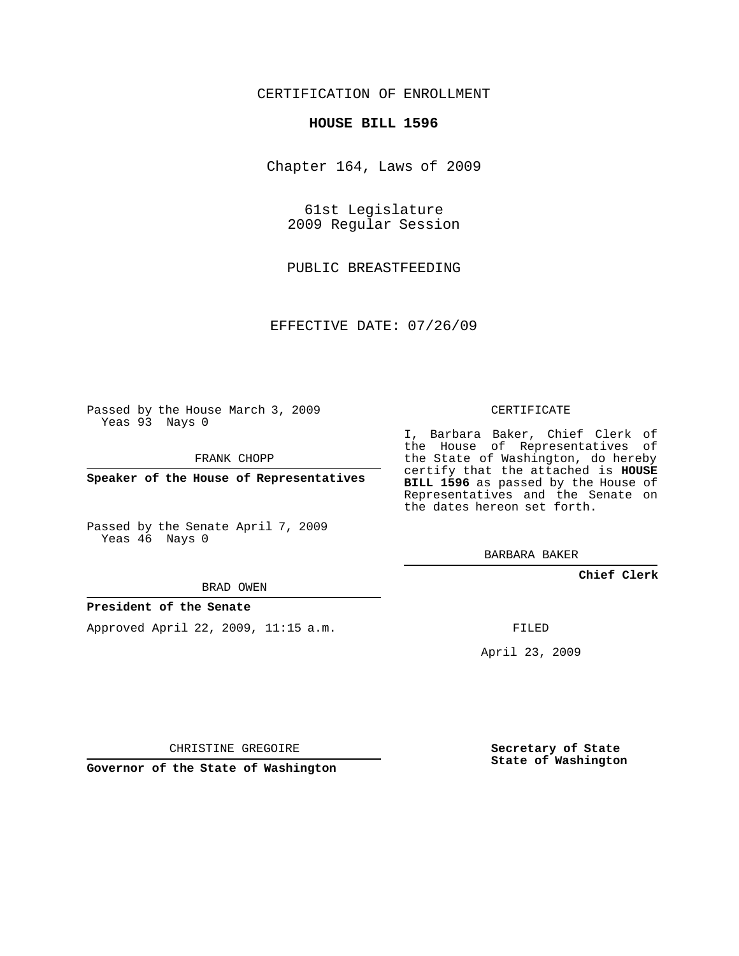### CERTIFICATION OF ENROLLMENT

#### **HOUSE BILL 1596**

Chapter 164, Laws of 2009

61st Legislature 2009 Regular Session

PUBLIC BREASTFEEDING

EFFECTIVE DATE: 07/26/09

Passed by the House March 3, 2009 Yeas 93 Nays 0

FRANK CHOPP

**Speaker of the House of Representatives**

Passed by the Senate April 7, 2009 Yeas 46 Nays 0

BRAD OWEN

#### **President of the Senate**

Approved April 22, 2009, 11:15 a.m.

CERTIFICATE

I, Barbara Baker, Chief Clerk of the House of Representatives of the State of Washington, do hereby certify that the attached is **HOUSE BILL 1596** as passed by the House of Representatives and the Senate on the dates hereon set forth.

BARBARA BAKER

**Chief Clerk**

FILED

April 23, 2009

CHRISTINE GREGOIRE

**Governor of the State of Washington**

**Secretary of State State of Washington**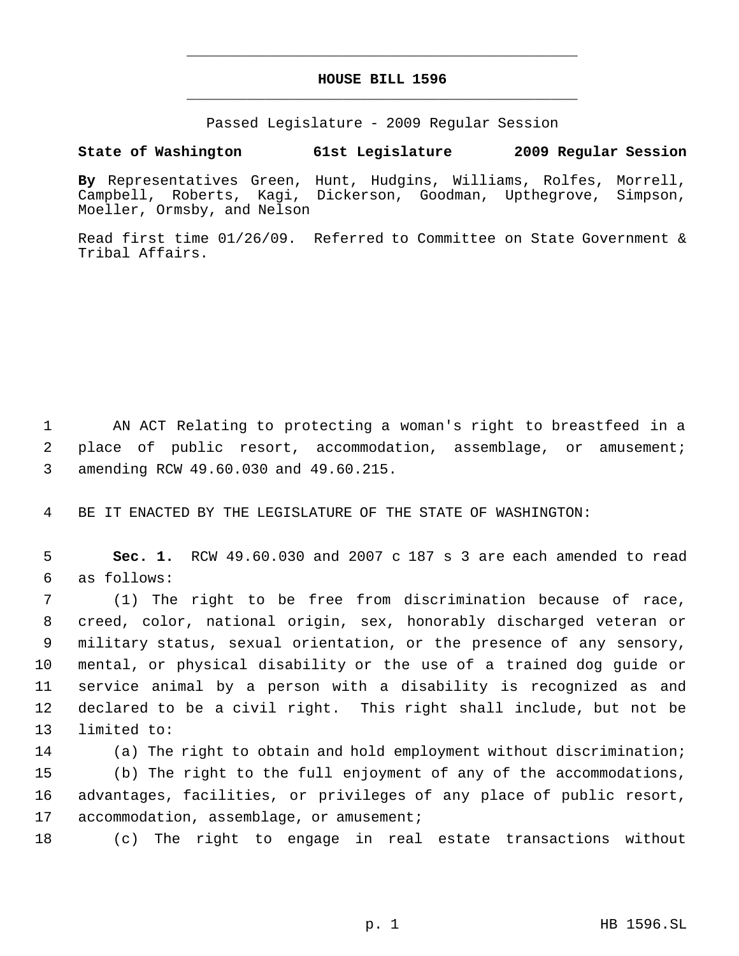# **HOUSE BILL 1596** \_\_\_\_\_\_\_\_\_\_\_\_\_\_\_\_\_\_\_\_\_\_\_\_\_\_\_\_\_\_\_\_\_\_\_\_\_\_\_\_\_\_\_\_\_

\_\_\_\_\_\_\_\_\_\_\_\_\_\_\_\_\_\_\_\_\_\_\_\_\_\_\_\_\_\_\_\_\_\_\_\_\_\_\_\_\_\_\_\_\_

Passed Legislature - 2009 Regular Session

## **State of Washington 61st Legislature 2009 Regular Session**

**By** Representatives Green, Hunt, Hudgins, Williams, Rolfes, Morrell, Campbell, Roberts, Kagi, Dickerson, Goodman, Upthegrove, Simpson, Moeller, Ormsby, and Nelson

Read first time 01/26/09. Referred to Committee on State Government & Tribal Affairs.

 1 AN ACT Relating to protecting a woman's right to breastfeed in a 2 place of public resort, accommodation, assemblage, or amusement; 3 amending RCW 49.60.030 and 49.60.215.

4 BE IT ENACTED BY THE LEGISLATURE OF THE STATE OF WASHINGTON:

 5 **Sec. 1.** RCW 49.60.030 and 2007 c 187 s 3 are each amended to read 6 as follows:

 (1) The right to be free from discrimination because of race, creed, color, national origin, sex, honorably discharged veteran or military status, sexual orientation, or the presence of any sensory, mental, or physical disability or the use of a trained dog guide or service animal by a person with a disability is recognized as and declared to be a civil right. This right shall include, but not be limited to:

 (a) The right to obtain and hold employment without discrimination; (b) The right to the full enjoyment of any of the accommodations, advantages, facilities, or privileges of any place of public resort, 17 accommodation, assemblage, or amusement;

18 (c) The right to engage in real estate transactions without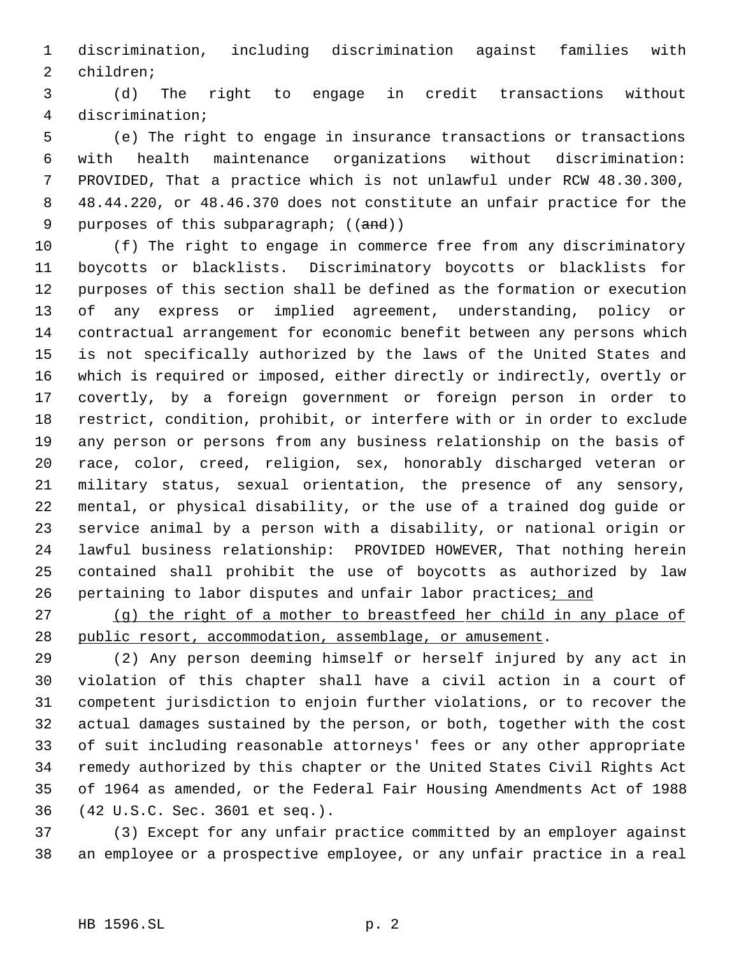discrimination, including discrimination against families with children;

 (d) The right to engage in credit transactions without discrimination;

 (e) The right to engage in insurance transactions or transactions with health maintenance organizations without discrimination: PROVIDED, That a practice which is not unlawful under RCW 48.30.300, 48.44.220, or 48.46.370 does not constitute an unfair practice for the 9 purposes of this subparagraph; ((and))

 (f) The right to engage in commerce free from any discriminatory boycotts or blacklists. Discriminatory boycotts or blacklists for purposes of this section shall be defined as the formation or execution of any express or implied agreement, understanding, policy or contractual arrangement for economic benefit between any persons which is not specifically authorized by the laws of the United States and which is required or imposed, either directly or indirectly, overtly or covertly, by a foreign government or foreign person in order to restrict, condition, prohibit, or interfere with or in order to exclude any person or persons from any business relationship on the basis of race, color, creed, religion, sex, honorably discharged veteran or military status, sexual orientation, the presence of any sensory, mental, or physical disability, or the use of a trained dog guide or service animal by a person with a disability, or national origin or lawful business relationship: PROVIDED HOWEVER, That nothing herein contained shall prohibit the use of boycotts as authorized by law 26 pertaining to labor disputes and unfair labor practices; and

 (g) the right of a mother to breastfeed her child in any place of public resort, accommodation, assemblage, or amusement.

 (2) Any person deeming himself or herself injured by any act in violation of this chapter shall have a civil action in a court of competent jurisdiction to enjoin further violations, or to recover the actual damages sustained by the person, or both, together with the cost of suit including reasonable attorneys' fees or any other appropriate remedy authorized by this chapter or the United States Civil Rights Act of 1964 as amended, or the Federal Fair Housing Amendments Act of 1988 (42 U.S.C. Sec. 3601 et seq.).

 (3) Except for any unfair practice committed by an employer against an employee or a prospective employee, or any unfair practice in a real